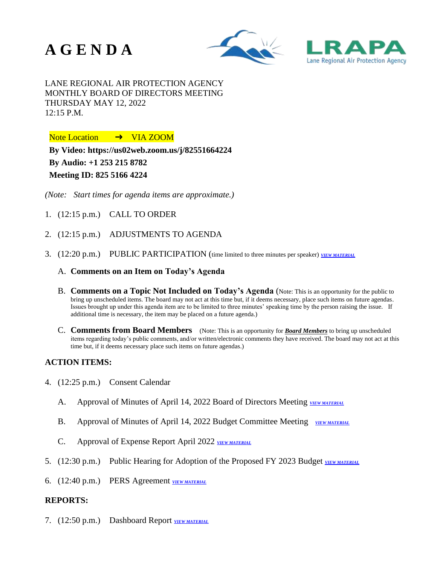





LANE REGIONAL AIR PROTECTION AGENCY MONTHLY BOARD OF DIRECTORS MEETING THURSDAY MAY 12, 2022 12:15 P.M.

Note Location → VIA ZOOM

**By Video:<https://us02web.zoom.us/j/82551664224> By Audio: +1 253 215 8782 Meeting ID: 825 5166 4224**

*(Note: Start times for agenda items are approximate.)*

- 1. (12:15 p.m.) CALL TO ORDER
- 2. (12:15 p.m.) ADJUSTMENTS TO AGENDA
- 3. (12:20 p.m.) PUBLIC PARTICIPATION (time limited to three minutes per speaker) *[VIEW MATERIAL](https://www.lrapa.org/DocumentCenter/View/6340/LRAPA-CAC-Mission-letter_5-5-2022)*
	- A. **Comments on an Item on Today's Agenda**
	- B. **Comments on a Topic Not Included on Today's Agenda** (Note: This is an opportunity for the public to bring up unscheduled items. The board may not act at this time but, if it deems necessary, place such items on future agendas. Issues brought up under this agenda item are to be limited to three minutes' speaking time by the person raising the issue. If additional time is necessary, the item may be placed on a future agenda.)
	- C. **Comments from Board Members** (Note: This is an opportunity for *Board Members* to bring up unscheduled items regarding today's public comments, and/or written/electronic comments they have received. The board may not act at this time but, if it deems necessary place such items on future agendas.)

## **ACTION ITEMS:**

- 4. (12:25 p.m.) Consent Calendar
	- A. Approval of Minutes of April 14, 2022 Board of Directors Meeting *[VIEW MATERIAL](https://www.lrapa.org/DocumentCenter/View/6332/4A)*
	- B. Approval of Minutes of April 14, 2022 Budget Committee Meeting *[VIEW MATERIAL](https://www.lrapa.org/DocumentCenter/View/6327/4B)*
	- C. Approval of Expense Report April 2022 **[VIEW MATERIAL](https://www.lrapa.org/DocumentCenter/View/6333/4C)**
- 5. (12:30 p.m.) Public Hearing for Adoption of the Proposed FY 2023 Budget *[VIEW MATERIAL](https://www.lrapa.org/DocumentCenter/View/6328/5)*
- 6. (12:40 p.m.) PERS Agreement *[VIEW MATERIAL](https://www.lrapa.org/DocumentCenter/View/6334/6)*

## **REPORTS:**

7. (12:50 p.m.) Dashboard Report *[VIEW MATERIAL](https://www.lrapa.org/DocumentCenter/View/6329/7)*